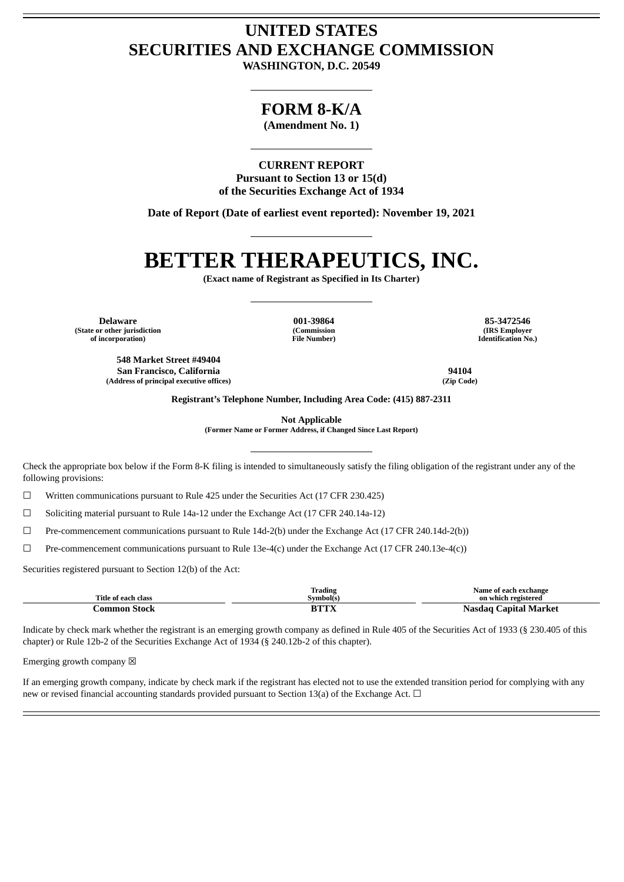## **UNITED STATES SECURITIES AND EXCHANGE COMMISSION**

**WASHINGTON, D.C. 20549**

### **FORM 8-K/A**

**(Amendment No. 1)**

**CURRENT REPORT Pursuant to Section 13 or 15(d) of the Securities Exchange Act of 1934**

**Date of Report (Date of earliest event reported): November 19, 2021**

# **BETTER THERAPEUTICS, INC.**

**(Exact name of Registrant as Specified in Its Charter)**

**Delaware 001-39864 85-3472546 (State or other jurisdiction of incorporation)**

**(Commission File Number)**

**(IRS Employer Identification No.)**

**548 Market Street #49404 San Francisco, California 94104 (Address of principal executive offices) (Zip Code)**

**Registrant's Telephone Number, Including Area Code: (415) 887-2311**

**Not Applicable**

**(Former Name or Former Address, if Changed Since Last Report)**

Check the appropriate box below if the Form 8-K filing is intended to simultaneously satisfy the filing obligation of the registrant under any of the following provisions:

 $\Box$  Written communications pursuant to Rule 425 under the Securities Act (17 CFR 230.425)

☐ Soliciting material pursuant to Rule 14a-12 under the Exchange Act (17 CFR 240.14a-12)

 $\Box$  Pre-commencement communications pursuant to Rule 14d-2(b) under the Exchange Act (17 CFR 240.14d-2(b))

☐ Pre-commencement communications pursuant to Rule 13e-4(c) under the Exchange Act (17 CFR 240.13e-4(c))

Securities registered pursuant to Section 12(b) of the Act:

| Title of each class | Trading<br>Symbol(s)  | Name of each exchange<br>on which registered |
|---------------------|-----------------------|----------------------------------------------|
| -Stock<br>:ommon :  | <b>BTTX</b><br>.L. 43 | C <b>apital Market</b><br>Nasdad             |

Indicate by check mark whether the registrant is an emerging growth company as defined in Rule 405 of the Securities Act of 1933 (§ 230.405 of this chapter) or Rule 12b-2 of the Securities Exchange Act of 1934 (§ 240.12b-2 of this chapter).

Emerging growth company  $\boxtimes$ 

If an emerging growth company, indicate by check mark if the registrant has elected not to use the extended transition period for complying with any new or revised financial accounting standards provided pursuant to Section 13(a) of the Exchange Act.  $\Box$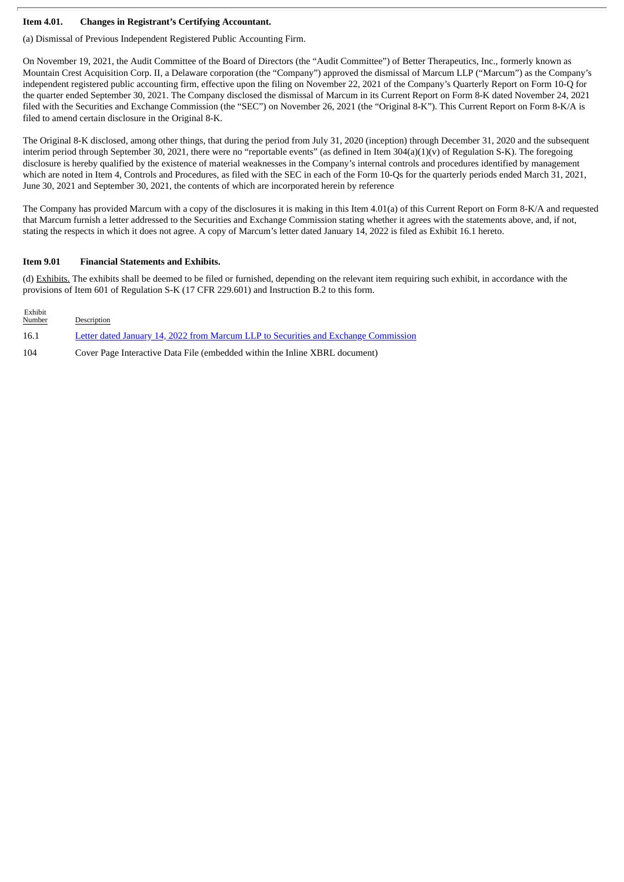#### **Item 4.01. Changes in Registrant's Certifying Accountant.**

(a) Dismissal of Previous Independent Registered Public Accounting Firm.

On November 19, 2021, the Audit Committee of the Board of Directors (the "Audit Committee") of Better Therapeutics, Inc., formerly known as Mountain Crest Acquisition Corp. II, a Delaware corporation (the "Company") approved the dismissal of Marcum LLP ("Marcum") as the Company's independent registered public accounting firm, effective upon the filing on November 22, 2021 of the Company's Quarterly Report on Form 10-Q for the quarter ended September 30, 2021. The Company disclosed the dismissal of Marcum in its Current Report on Form 8-K dated November 24, 2021 filed with the Securities and Exchange Commission (the "SEC") on November 26, 2021 (the "Original 8-K"). This Current Report on Form 8-K/A is filed to amend certain disclosure in the Original 8-K.

The Original 8-K disclosed, among other things, that during the period from July 31, 2020 (inception) through December 31, 2020 and the subsequent interim period through September 30, 2021, there were no "reportable events" (as defined in Item 304(a)(1)(v) of Regulation S-K). The foregoing disclosure is hereby qualified by the existence of material weaknesses in the Company's internal controls and procedures identified by management which are noted in Item 4, Controls and Procedures, as filed with the SEC in each of the Form 10-Qs for the quarterly periods ended March 31, 2021, June 30, 2021 and September 30, 2021, the contents of which are incorporated herein by reference

The Company has provided Marcum with a copy of the disclosures it is making in this Item 4.01(a) of this Current Report on Form 8-K/A and requested that Marcum furnish a letter addressed to the Securities and Exchange Commission stating whether it agrees with the statements above, and, if not, stating the respects in which it does not agree. A copy of Marcum's letter dated January 14, 2022 is filed as Exhibit 16.1 hereto.

#### **Item 9.01 Financial Statements and Exhibits.**

(d) Exhibits. The exhibits shall be deemed to be filed or furnished, depending on the relevant item requiring such exhibit, in accordance with the provisions of Item 601 of Regulation S-K (17 CFR 229.601) and Instruction B.2 to this form.

| Exhibit<br><b>Number</b> | Description                                                                         |
|--------------------------|-------------------------------------------------------------------------------------|
| 16.1                     | Letter dated January 14, 2022 from Marcum LLP to Securities and Exchange Commission |
| 104                      | Cover Page Interactive Data File (embedded within the Inline XBRL document)         |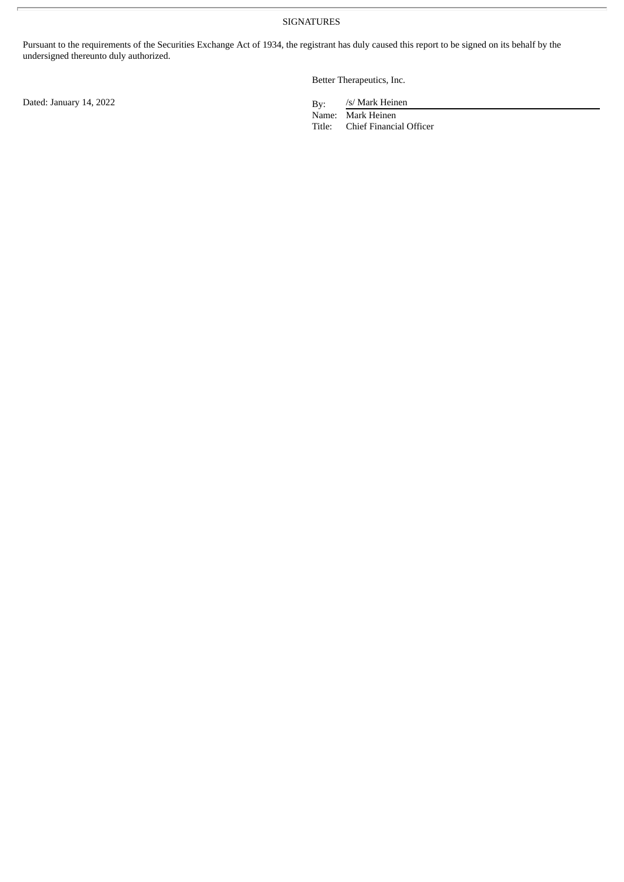SIGNATURES

Pursuant to the requirements of the Securities Exchange Act of 1934, the registrant has duly caused this report to be signed on its behalf by the undersigned thereunto duly authorized.

Better Therapeutics, Inc.

/s/ Mark Heinen

Name: Mark Heinen Title: Chief Financial Officer

Dated: January 14, 2022 By: